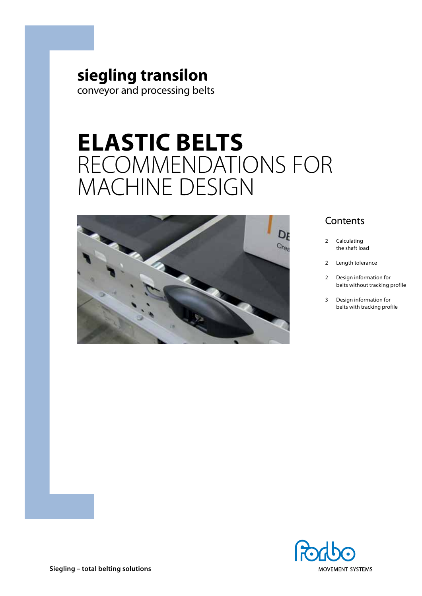## **siegling transilon** conveyor and processing belts

# **Elastic belts** Recommendations for machine design



## **Contents**

- 2 Calculating the shaft load
- 2 Length tolerance
- 2 Design information for belts without tracking profile
- 3 Design information for belts with tracking profile

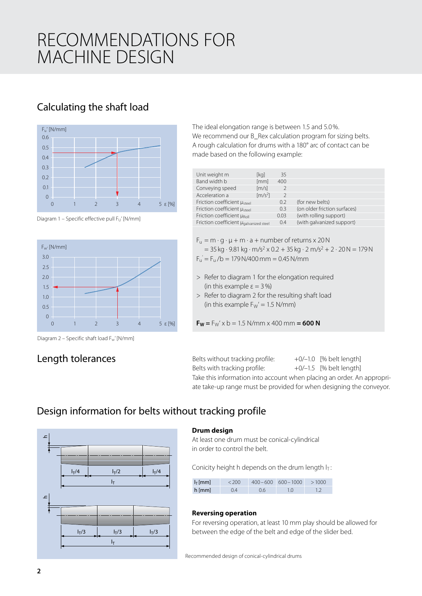## RECOMMENDATIONS F machine design

## Calculating the shaft load









### Length tolerances

The ideal elongation range is between 1.5 and 5.0%. We recommend our B\_Rex calculation program for sizing belts. A rough calculation for drums with a 180° arc of contact can be made based on the following example:

| Unit weight m                           | [kg]                         | 35            |                              |
|-----------------------------------------|------------------------------|---------------|------------------------------|
| Band width b                            | [mm]                         | 400           |                              |
| Conveying speed                         | $\left[\frac{m}{s}\right]$   | $\mathcal{P}$ |                              |
| Acceleration a                          | $\left[\frac{m}{s^2}\right]$ | $\mathcal{P}$ |                              |
| Friction coefficient µ <sub>steel</sub> |                              | 0.2           | (for new belts)              |
| Friction coefficient µ <sub>steel</sub> |                              | 03            | (on older friction surfaces) |
| Friction coefficient µRoll              |                              | 0.03          | (with rolling support)       |
| Friction coefficient µgalvanized steel  |                              | 0.4           | (with galvanized support)    |
|                                         |                              |               |                              |

| $F_u = m \cdot q \cdot \mu + m \cdot a + number of returns x 20 N$                                                   |
|----------------------------------------------------------------------------------------------------------------------|
| $=$ 35 kg $\cdot$ 9.81 kg $\cdot$ m/s <sup>2</sup> x 0.2 + 35 kg $\cdot$ 2 m/s <sup>2</sup> + 2 $\cdot$ 20 N = 179 N |
| $F_{\rm u} = F_{\rm u}/b = 179 \,\text{N}/400 \,\text{mm} = 0.45 \,\text{N}/\text{mm}$                               |

- > Refer to diagram 1 for the elongation required (in this example  $\varepsilon = 3\%$ )
- > Refer to diagram 2 for the resulting shaft load (in this example  $F_W' = 1.5$  N/mm)

 $F_W = F_W' \times b = 1.5 N/mm \times 400 mm = 600 N$ 

Belts without tracking profile:  $+0/-1.0$  [% belt length] Belts with tracking profile:  $+0/-1.5$  [% belt length] Take this information into account when placing an order. An appropriate take-up range must be provided for when designing the conveyor.

## Design information for belts without tracking profile



#### **Drum design**

At least one drum must be conical-cylindrical in order to control the belt.

Conicity height h depends on the drum length  $I_T$ :

| $IT$ [mm] | $<$ 200 |     | $400 - 600$ $600 - 1000$ | >1000 |
|-----------|---------|-----|--------------------------|-------|
| $h$ [mm]  | 0.4     | 0.6 |                          | 1.2   |

#### **Reversing operation**

For reversing operation, at least 10 mm play should be allowed for between the edge of the belt and edge of the slider bed.

Recommended design of conical-cylindrical drums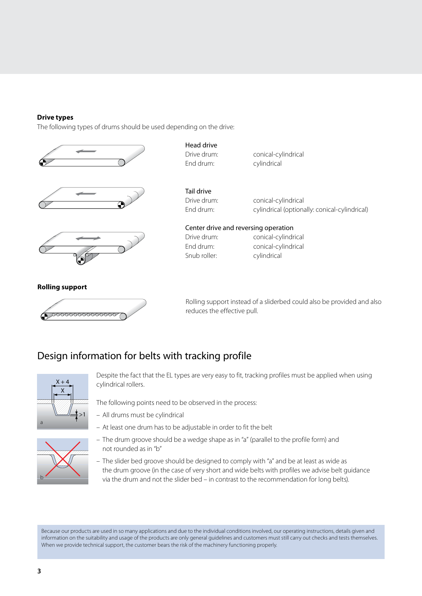#### **Drive types**

The following types of drums should be used depending on the drive:







#### Head drive

End drum: cylindrical

Drive drum: conical-cylindrical

Tail drive

Drive drum: conical-cylindrical End drum: cylindrical (optionally: conical-cylindrical)

#### Center drive and reversing operation

Snub roller: cylindrical

Drive drum: conical-cylindrical End drum: conical-cylindrical

**Rolling support**



Rolling support instead of a sliderbed could also be provided and also reduces the effective pull.

## Design information for belts with tracking profile



Despite the fact that the EL types are very easy to fit, tracking profiles must be applied when using cylindrical rollers.

The following points need to be observed in the process:

– All drums must be cylindrical



– At least one drum has to be adjustable in order to fit the belt

- The drum groove should be a wedge shape as in "a" (parallel to the profile form) and not rounded as in "b"
- The slider bed groove should be designed to comply with "a" and be at least as wide as the drum groove (in the case of very short and wide belts with profiles we advise belt guidance via the drum and not the slider bed – in contrast to the recommendation for long belts).

Because our products are used in so many applications and due to the individual conditions involved, our operating instructions, details given and information on the suitability and usage of the products are only general guidelines and customers must still carry out checks and tests themselves. When we provide technical support, the customer bears the risk of the machinery functioning properly.